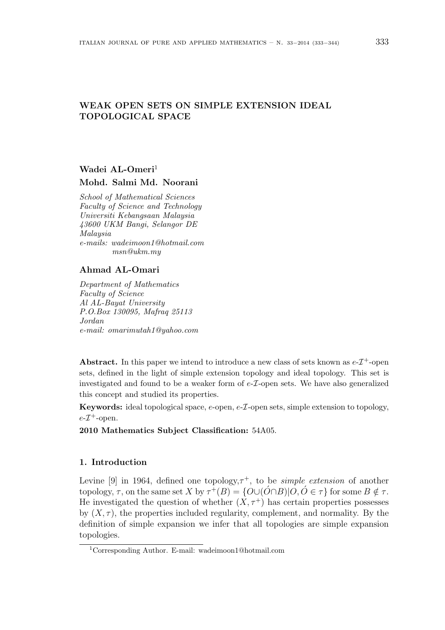## WEAK OPEN SETS ON SIMPLE EXTENSION IDEAL TOPOLOGICAL SPACE

# Wadei AL-Omeri<sup>1</sup> Mohd. Salmi Md. Noorani

School of Mathematical Sciences Faculty of Science and Technology Universiti Kebangsaan Malaysia 43600 UKM Bangi, Selangor DE Malaysia e-mails: wadeimoon1@hotmail.com msn@ukm.my

### Ahmad AL-Omari

Department of Mathematics Faculty of Science Al AL-Bayat University P.O.Box 130095, Mafraq 25113 Jordan e-mail: omarimutah1@yahoo.com

Abstract. In this paper we intend to introduce a new class of sets known as  $e\text{-}T^+$ -open sets, defined in the light of simple extension topology and ideal topology. This set is investigated and found to be a weaker form of  $e$ - $\mathcal{I}$ -open sets. We have also generalized this concept and studied its properties.

**Keywords:** ideal topological space,  $e$ -open,  $e$ - $\mathcal{I}$ -open sets, simple extension to topology,  $e$ - $\mathcal{I}^+$ -open.

2010 Mathematics Subject Classification: 54A05.

### 1. Introduction

Levine [9] in 1964, defined one topology,  $\tau^+$ , to be *simple extension* of another topology,  $\tau$ , on the same set X by  $\tau^+(B) = \{O \cup (\hat{O} \cap B) | O, O \in \tau\}$  for some  $B \notin \tau$ . He investigated the question of whether  $(X, \tau^+)$  has certain properties possesses by  $(X, \tau)$ , the properties included regularity, complement, and normality. By the definition of simple expansion we infer that all topologies are simple expansion topologies.

<sup>1</sup>Corresponding Author. E-mail: wadeimoon1@hotmail.com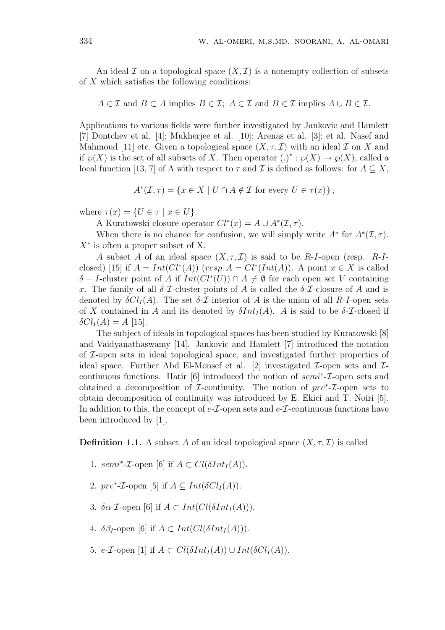An ideal  $\mathcal I$  on a topological space  $(X,\mathcal I)$  is a nonempty collection of subsets of  $X$  which satisfies the following conditions:

$$
A \in \mathcal{I}
$$
 and  $B \subset A$  implies  $B \in \mathcal{I}$ ;  $A \in \mathcal{I}$  and  $B \in \mathcal{I}$  implies  $A \cup B \in \mathcal{I}$ .

Applications to various fields were further investigated by Jankovic and Hamlett [7] Dontchev et al. [4]; Mukherjee et al. [10]; Arenas et al. [3]; et al. Nasef and Mahmoud [11] etc. Given a topological space  $(X, \tau, \mathcal{I})$  with an ideal  $\mathcal I$  on  $X$  and if  $\wp(X)$  is the set of all subsets of X. Then operator  $(.)^* : \wp(X) \to \wp(X)$ , called a local function [13, 7] of A with respect to  $\tau$  and  $\mathcal I$  is defined as follows: for  $A \subseteq X$ ,

$$
A^*(\mathcal{I}, \tau) = \{ x \in X \mid U \cap A \notin \mathcal{I} \text{ for every } U \in \tau(x) \},
$$

where  $\tau(x) = \{U \in \tau \mid x \in U\}.$ 

A Kuratowski closure operator  $Cl^*(x) = A \cup A^*(\mathcal{I}, \tau)$ .

When there is no chance for confusion, we will simply write  $A^*$  for  $A^*(\mathcal{I}, \tau)$ .  $X^*$  is often a proper subset of X.

A subset A of an ideal space  $(X, \tau, \mathcal{I})$  is said to be R-I-open (resp. R-Iclosed) [15] if  $A = Int(Cl^*(A))$  (resp.  $A = Cl^*(Int(A))$ ). A point  $x \in X$  is called  $\delta$  – I-cluster point of A if  $Int(Cl^*(U)) \cap A \neq \emptyset$  for each open set V containing x. The family of all  $\delta$ -*T*-cluster points of A is called the  $\delta$ -*T*-closure of A and is denoted by  $\delta Cl_I(A)$ . The set  $\delta$ -*I*-interior of A is the union of all R-I-open sets of X contained in A and its denoted by  $\delta Int_I(A)$ . A is said to be  $\delta$ -*T*-closed if  $\delta Cl_I(A) = A$  [15].

The subject of ideals in topological spaces has been studied by Kuratowski [8] and Vaidyanathaswamy [14]. Jankovic and Hamlett [7] introduced the notation of I-open sets in ideal topological space, and investigated further properties of ideal space. Further Abd El-Monsef et al. [2] investigated  $\mathcal{I}$ -open sets and  $\mathcal{I}$ continuous functions. Hatir [6] introduced the notion of  $semi^*$ - $\mathcal{I}$ -open sets and obtained a decomposition of  $\mathcal{I}$ -continuity. The notion of  $pre^*\text{-}\mathcal{I}$ -open sets to obtain decomposition of continuity was introduced by E. Ekici and T. Noiri [5]. In addition to this, the concept of  $e\text{-}\mathcal{I}\text{-open}$  sets and  $e\text{-}\mathcal{I}\text{-continuous}$  functions have been introduced by [1].

**Definition 1.1.** A subset A of an ideal topological space  $(X, \tau, \mathcal{I})$  is called

- 1. semi<sup>\*</sup>-*T*-open [6] if  $A \subset Cl(\delta Int_I(A)).$
- 2.  $pre^*\text{-}\mathcal{I}\text{-open}$  [5] if  $A \subseteq Int(\delta Cl_I(A)).$
- 3.  $\delta \alpha$ -*T*-open [6] if  $A \subset Int(Cl(\delta Int_I(A))).$
- 4. δ $\beta_I$ -open [6] if  $A \subset Int(Cl(\delta Int_I(A))).$
- 5. e- $\mathcal{I}\text{-open}$  [1] if  $A \subset Cl(\delta Int_I(A)) \cup Int(\delta Cl_I(A)).$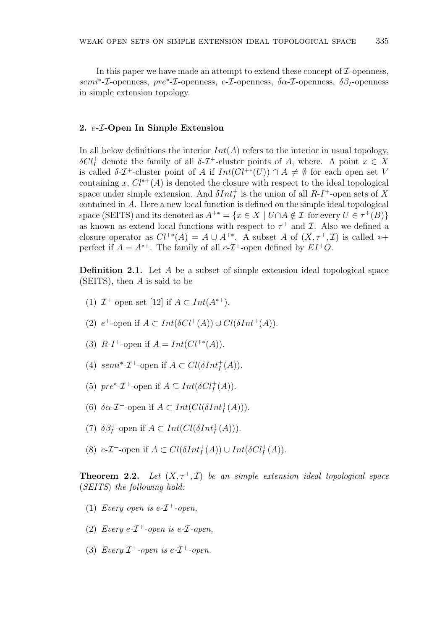In this paper we have made an attempt to extend these concept of  $\mathcal{I}\text{-openness}$ ,  $semi^*-\mathcal{I}$ -openness,  $pre^*\text{-}\mathcal{I}$ -openness,  $e-\mathcal{I}$ -openness,  $\delta \alpha$ - $\mathcal{I}$ -openness,  $\delta \beta_I$ -openness in simple extension topology.

#### 2. e-I-Open In Simple Extension

In all below definitions the interior  $Int(A)$  refers to the interior in usual topology,  $\delta Cl<sub>I</sub><sup>+</sup>$  denote the family of all  $\delta$ -*T*<sup>+</sup>-cluster points of *A*, where. A point *x* ∈ *X* is called  $\delta$ - $\mathcal{I}^+$ -cluster point of A if  $Int(Cl^{+*}(U)) \cap A \neq \emptyset$  for each open set V containing x,  $Cl^{*+}(A)$  is denoted the closure with respect to the ideal topological space under simple extension. And  $\delta Int_I^+$  is the union of all  $R-I^+$ -open sets of X contained in A. Here a new local function is defined on the simple ideal topological space (SEITS) and its denoted as  $A^{+*} = \{x \in X \mid U \cap A \notin \mathcal{I} \text{ for every } U \in \tau^+(B)\}\$ as known as extend local functions with respect to  $\tau^+$  and  $\mathcal{I}$ . Also we defined a closure operator as  $Cl^{+*}(A) = A \cup A^{+*}$ . A subset A of  $(X, \tau^+, \mathcal{I})$  is called \*+ perfect if  $A = A^{*+}$ . The family of all  $e$ - $\mathcal{I}^+$ -open defined by  $EI^+O$ .

**Definition 2.1.** Let  $A$  be a subset of simple extension ideal topological space (SEITS), then  $A$  is said to be

- (1)  $\mathcal{I}^+$  open set [12] if  $A \subset Int(A^{*+})$ .
- (2)  $e^+$ -open if  $A \subset Int(\delta Cl^+(A)) \cup Cl(\delta Int^+(A)).$
- (3)  $R-I^+$ -open if  $A = Int(Cl^{+*}(A)).$
- (4) semi<sup>\*</sup>- $\mathcal{I}^+$ -open if  $A \subset Cl(\delta Int_I^+(A)).$
- (5)  $pre^*\text{-}\mathcal{I}^+$ -open if  $A \subseteq Int(\delta Cl_I^+(A)).$
- (6)  $\delta \alpha$ -*T*<sup>+</sup>-open if  $A \subset Int(Cl(\delta Int^+_I(A))).$
- (7)  $\delta \beta_I^+$ -open if  $A \subset Int(Cl(\delta Int_I^+(A))).$
- (8)  $e$ -*T*<sup>+</sup>-open if  $A \subset Cl(\delta Int_I^+(A)) \cup Int(\delta Cl_I^+(A)).$

**Theorem 2.2.** Let  $(X, \tau^+, \mathcal{I})$  be an simple extension ideal topological space (SEITS) the following hold:

- (1) Every open is  $e$ - $\mathcal{I}^+$ -open,
- (2) Every  $e\text{-} \mathcal{I}^+$ -open is  $e\text{-} \mathcal{I}$ -open,
- (3) Every  $\mathcal{I}^+$ -open is e- $\mathcal{I}^+$ -open.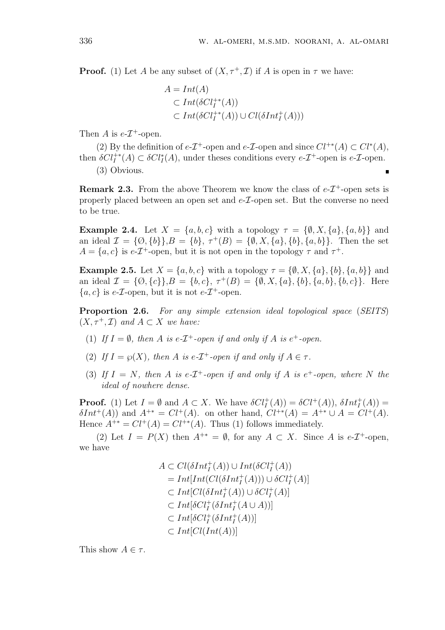**Proof.** (1) Let A be any subset of  $(X, \tau^+, \mathcal{I})$  if A is open in  $\tau$  we have:

$$
A = Int(A)
$$
  
\n
$$
\subset Int(\delta Cl_I^{+*}(A))
$$
  
\n
$$
\subset Int(\delta Cl_I^{+*}(A)) \cup Cl(\delta Int_I^{+}(A)))
$$

Then A is  $e$ - $\mathcal{I}^+$ -open.

(2) By the definition of  $e$ - $\mathcal{I}^+$ -open and  $e$ - $\mathcal{I}$ -open and since  $Cl^{**}(A) \subset Cl^{*}(A)$ , then  $\delta Cl_I^{+*}(A) \subset \delta Cl_I^*(A)$ , under theses conditions every e- $\mathcal{I}^+$ -open is e- $\mathcal{I}$ -open.

(3) Obvious.

**Remark 2.3.** From the above Theorem we know the class of  $e\text{-}T^+$ -open sets is properly placed between an open set and  $e$ - $\mathcal{I}$ -open set. But the converse no need to be true.

**Example 2.4.** Let  $X = \{a, b, c\}$  with a topology  $\tau = \{\emptyset, X, \{a\}, \{a, b\}\}\$ and an ideal  $\mathcal{I} = \{0, \{b\}, \mathcal{I}^+(B) = \{\emptyset, X, \{a\}, \{b\}, \{a, b\}\}.$  Then the set  $A = \{a, c\}$  is e-T<sup>+</sup>-open, but it is not open in the topology  $\tau$  and  $\tau^+$ .

**Example 2.5.** Let  $X = \{a, b, c\}$  with a topology  $\tau = \{\emptyset, X, \{a\}, \{b\}, \{a, b\}\}\$ and an ideal  $\mathcal{I} = \{0, \{c\}\}\$ ,  $B = \{b, c\}$ ,  $\tau^+(B) = \{\emptyset, X, \{a\}, \{b\}, \{a, b\}, \{b, c\}\}\$ . Here  ${a, c}$  is e-*T*-open, but it is not e-*T*<sup>+</sup>-open.

Proportion 2.6. For any simple extension ideal topological space (SEITS)  $(X, \tau^+, \mathcal{I})$  and  $A \subset X$  we have:

- (1) If  $I = \emptyset$ , then A is e- $\mathcal{I}^+$ -open if and only if A is e<sup>+</sup>-open.
- (2) If  $I = \wp(X)$ , then A is e-T<sup>+</sup>-open if and only if  $A \in \tau$ .
- (3) If  $I = N$ , then A is e- $\mathcal{I}^+$ -open if and only if A is e<sup>+</sup>-open, where N the ideal of nowhere dense.

**Proof.** (1) Let  $I = \emptyset$  and  $A \subset X$ . We have  $\delta Cl_I^+(A) = \delta Cl^+(A)$ ,  $\delta Int_I^+(A) =$  $\delta Int^+(A)$  and  $A^{+*} = Cl^+(A)$ , on other hand,  $Cl^{+*}(A) = A^{+*} \cup A = Cl^+(A)$ . Hence  $A^{+*} = Cl^+(A) = Cl^{+*}(A)$ . Thus (1) follows immediately.

(2) Let  $I = P(X)$  then  $A^{+*} = \emptyset$ , for any  $A \subset X$ . Since A is e- $\mathcal{I}^+$ -open, we have

$$
A \subset Cl(\delta Int_I^+(A)) \cup Int(\delta Cl_I^+(A))
$$
  
= Int[Int(Cl(\delta Int\_I^+(A))) \cup \delta Cl\_I^+(A)]  

$$
\subset Int[Cl(\delta Int_I^+(A)) \cup \delta Cl_I^+(A)]
$$
  

$$
\subset Int[\delta Cl_I^+(\delta Int_I^+(A \cup A))]
$$
  

$$
\subset Int[\delta Cl_I^+(\delta Int_I^+(A))]
$$
  

$$
\subset Int[Cl(Int(A))]
$$

This show  $A \in \tau$ .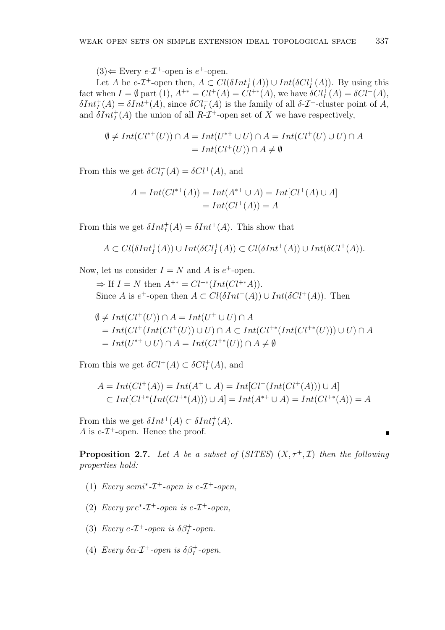$(3) \Leftarrow$  Every  $e$ - $\mathcal{I}^+$ -open is  $e^+$ -open.

Let A be  $e\text{-}T^{\text{+}}$ -open then,  $A \subset Cl(\delta Int_I^+(A)) \cup Int(\delta Cl_I^+(A))$ . By using this fact when  $I = \emptyset$  part  $(1), A^{+*} = Cl^+(A) = Cl^{+*}(A)$ , we have  $\delta Cl_I^+(A) = \delta Cl^+(A)$ ,  $\delta Int_I^+(A) = \delta Int^+(A)$ , since  $\delta Cl_I^+(A)$  is the family of all  $\delta \mathcal{I}^+$ -cluster point of A, and  $\delta Int_I^+(A)$  the union of all  $R\text{-}{\mathcal{I}}^+$ -open set of X we have respectively,

$$
\emptyset \neq Int(Cl^{*+}(U)) \cap A = Int(U^{*+} \cup U) \cap A = Int(Cl^{+}(U) \cup U) \cap A
$$
  
= Int(Cl^{+}(U)) \cap A \neq \emptyset

From this we get  $\delta Cl_I^+(A) = \delta Cl^+(A)$ , and

$$
A = Int(Cl^{*+}(A)) = Int(A^{*+} \cup A) = Int[Cl^{+}(A) \cup A]
$$
  
= Int(Cl^{+}(A)) = A

From this we get  $\delta Int_I^+(A) = \delta Int^+(A)$ . This show that

$$
A \subset Cl(\delta Int^+_I(A)) \cup Int(\delta Cl^+_I(A)) \subset Cl(\delta Int^+(A)) \cup Int(\delta Cl^+(A)).
$$

Now, let us consider  $I = N$  and A is  $e^+$ -open.

 $\Rightarrow$  If  $I = N$  then  $A^{+*} = Cl^{+*}(Int(Cl^{+*}A)).$ Since A is  $e^+$ -open then  $A \subset Cl(\delta Int^+(A)) \cup Int(\delta Cl^+(A))$ . Then

$$
\emptyset \neq Int(Cl^+(U)) \cap A = Int(U^+ \cup U) \cap A
$$
  
= Int(Cl^+(Int(Cl^+(U)) \cup U) \cap A \subset Int(Cl^{\*\*}(Int(Cl^{\*\*}(U))) \cup U) \cap A  
= Int(U^{\*\*} \cup U) \cap A = Int(Cl^{\*\*}(U)) \cap A \neq \emptyset

From this we get  $\delta Cl^+(A) \subset \delta Cl^+_I(A)$ , and

$$
A = Int(Cl^{+}(A)) = Int(A^{+} \cup A) = Int[Cl^{+}(Int(Cl^{+}(A))) \cup A]
$$
  
\n
$$
\subset Int[Cl^{+*}(Int(Cl^{+*}(A))) \cup A] = Int(A^{*+} \cup A) = Int(Cl^{+*}(A)) = A
$$

From this we get  $\delta Int^+(A) \subset \delta Int^+_I(A)$ . A is  $e$ - $\mathcal{I}^+$ -open. Hence the proof.

**Proposition 2.7.** Let A be a subset of (SITES)  $(X, \tau^+, \mathcal{I})$  then the following properties hold:

- (1) Every semi<sup>\*</sup>- $\mathcal{I}^+$ -open is e- $\mathcal{I}^+$ -open,
- (2) Every pre\*- $\mathcal{I}^+$ -open is e- $\mathcal{I}^+$ -open,
- (3) Every e- $\mathcal{I}^+$ -open is  $\delta \beta_I^+$ -open.
- (4) Every  $\delta \alpha$ - $\mathcal{I}^+$ -open is  $\delta \beta_I^+$ -open.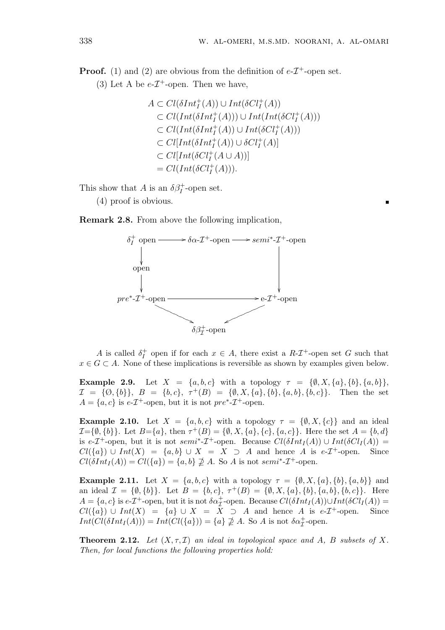**Proof.** (1) and (2) are obvious from the definition of  $e\text{-}T^+$ -open set.

(3) Let A be  $e$ - $\mathcal{I}^+$ -open. Then we have,

$$
A \subset Cl(\delta Int_I^+(A)) \cup Int(\delta Cl_I^+(A))
$$
  
\n
$$
\subset Cl(Int(\delta Int_I^+(A))) \cup Int(Int(\delta Cl_I^+(A)))
$$
  
\n
$$
\subset Cl(Int(\delta Int_I^+(A)) \cup Int(\delta Cl_I^+(A)))
$$
  
\n
$$
\subset Cl[Int(\delta Int_I^+(A)) \cup \delta Cl_I^+(A)]
$$
  
\n
$$
\subset Cl[Int(\delta Cl_I^+(A \cup A))]
$$
  
\n
$$
= Cl(Int(\delta Cl_I^+(A))).
$$

This show that A is an  $\delta \beta_I^+$ -open set.

(4) proof is obvious.

Remark 2.8. From above the following implication,



A is called  $\delta_I^+$ <sup>+</sup> open if for each  $x \in A$ , there exist a  $R\text{-}\mathcal{I}^+$ -open set G such that  $x \in G \subset A$ . None of these implications is reversible as shown by examples given below.

**Example 2.9.** Let  $X = \{a, b, c\}$  with a topology  $\tau = \{\emptyset, X, \{a\}, \{b\}, \{a, b\}\},\$  $\mathcal{I} = \{\emptyset, \{b\}\}, B = \{b, c\}, \tau^+(B) = \{\emptyset, X, \{a\}, \{b\}, \{a, b\}, \{b, c\}\}.$  Then the set  $A = \{a, c\}$  is e- $\mathcal{I}^+$ -open, but it is not  $pre^*$ - $\mathcal{I}^+$ -open.

**Example 2.10.** Let  $X = \{a, b, c\}$  with a topology  $\tau = \{\emptyset, X, \{c\}\}\$ and an ideal  $\mathcal{I} = \{\emptyset, \{b\}\}.$  Let  $B = \{a\},\$  then  $\tau^+(B) = \{\emptyset, X, \{a\}, \{c\}, \{a, c\}\}.$  Here the set  $A = \{b, d\}$ is e-T<sup>+</sup>-open, but it is not semi<sup>\*</sup>-T<sup>+</sup>-open. Because  $Cl(\delta Int_I(A)) \cup Int(\delta Cl_I(A)) =$  $Cl({a}) \cup Int(X) = {a,b} \cup X = X \supset A$  and hence A is e- $\mathcal{I}^+$ -open. Since  $Cl(\delta Int_I(A)) = Cl({a}) = {a, b} \not\supseteq A$ . So A is not semi<sup>\*</sup>- $I^+$ -open.

**Example 2.11.** Let  $X = \{a, b, c\}$  with a topology  $\tau = \{\emptyset, X, \{a\}, \{b\}, \{a, b\}\}\$ and an ideal  $\mathcal{I} = \{\emptyset, \{b\}\}\.$  Let  $B = \{b, c\}, \tau^+(B) = \{\emptyset, X, \{a\}, \{b\}, \{a, b\}, \{b, c\}\}\.$  Here  $A = \{a, c\}$  is  $e \text{-} \mathcal{I}^+$ -open, but it is not  $\delta \alpha^+_{\mathcal{I}}$ -open. Because  $Cl(\delta Int_I(A)) \cup Int(\delta Cl_I(A)) =$  $Cl({a}) \cup Int(X) = {a} \cup X = \overline{X} \supset A$  and hence A is e-T<sup>+</sup>-open. Since  $Int(Cl(\delta Int_I(A))) = Int(Cl(\lbrace a \rbrace)) = \lbrace a \rbrace \nsupseteq A$ . So A is not  $\delta \alpha^+_{\mathcal{I}}$ -open.

**Theorem 2.12.** Let  $(X, \tau, \mathcal{I})$  an ideal in topological space and A, B subsets of X. Then, for local functions the following properties hold: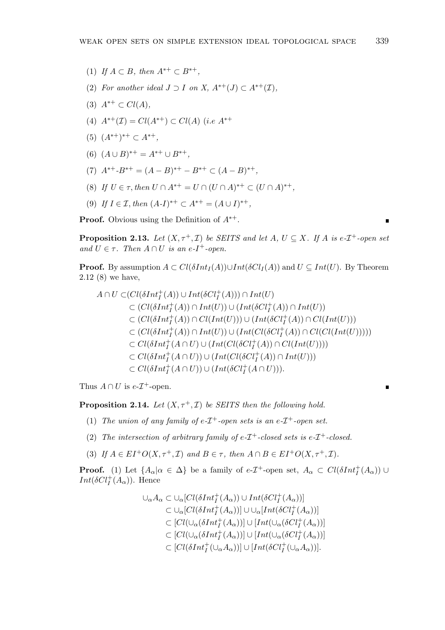- (1) If  $A \subset B$ , then  $A^{*+} \subset B^{*+}$ ,
- (2) For another ideal  $J \supset I$  on  $X$ ,  $A^{*+}(J) \subset A^{*+}(\mathcal{I})$ ,
- (3)  $A^{*+} \subset Cl(A)$ ,
- (4)  $A^{*+}(\mathcal{I}) = Cl(A^{*+}) \subset Cl(A)$  (i.e  $A^{*+}$
- (5)  $(A^{*+})^{*+}$  ⊂  $A^{*+}$ ,
- (6)  $(A \cup B)^{**} = A^{**} \cup B^{**},$
- (7)  $A^{*+}$ - $B^{*+} = (A B)^{*+} B^{*+} \subset (A B)^{*+}$ ,
- (8) If  $U \in \tau$ , then  $U \cap A^{*+} = U \cap (U \cap A)^{**} \subset (U \cap A)^{**}$ ,
- (9) If  $I \in \mathcal{I}$ , then  $(A-I)^{*+} \subset A^{*+} = (A \cup I)^{*+}$ ,

**Proof.** Obvious using the Definition of  $A^{*+}$ .

**Proposition 2.13.** Let  $(X, \tau^+, \mathcal{I})$  be SEITS and let A,  $U \subseteq X$ . If A is e- $\mathcal{I}^+$ -open set and  $U \in \tau$ . Then  $A \cap U$  is an e-I<sup>+</sup>-open.

**Proof.** By assumption  $A \subset Cl(\delta Int_I(A)) \cup Int(\delta Cl_I(A))$  and  $U \subseteq Int(U)$ . By Theorem 2.12 (8) we have,

$$
A \cap U \subset (Cl(\delta Int_I^+(A)) \cup Int(\delta Cl_I^+(A))) \cap Int(U)
$$
  
\n
$$
\subset (Cl(\delta Int_I^+(A)) \cap Int(U)) \cup (Int(\delta Cl_I^+(A)) \cap Int(U))
$$
  
\n
$$
\subset (Cl(\delta Int_I^+(A)) \cap Cl(Int(U))) \cup (Int(\delta Cl_I^+(A)) \cap Cl(Int(U)))
$$
  
\n
$$
\subset (Cl(\delta Int_I^+(A)) \cap Int(U)) \cup (Int(Cl(\delta Cl_I^+(A)) \cap Cl(ClInt(U)))))
$$
  
\n
$$
\subset Cl(\delta Int_I^+(A \cap U) \cup (Int(Cl(\delta Cl_I^+(A)) \cap Cl(Int(U))))
$$
  
\n
$$
\subset Cl(\delta Int_I^+(A \cap U)) \cup (Int(Cl(\delta Cl_I^+(A)) \cap Int(U)))
$$
  
\n
$$
\subset Cl(\delta Int_I^+(A \cap U)) \cup (Int(\delta Cl_I^+(A \cap U))).
$$

Thus  $A \cap U$  is  $e$ - $\mathcal{I}^+$ -open.

**Proposition 2.14.** Let  $(X, \tau^+, \mathcal{I})$  be SEITS then the following hold.

- (1) The union of any family of  $e\text{-}I^+$ -open sets is an  $e\text{-}I^+$ -open set.
- (2) The intersection of arbitrary family of  $e\text{-}I^+$ -closed sets is  $e\text{-}I^+$ -closed.
- (3) If  $A \in EI^+O(X, \tau^+, \mathcal{I})$  and  $B \in \tau$ , then  $A \cap B \in EI^+O(X, \tau^+, \mathcal{I})$ .

**Proof.** (1) Let  $\{A_{\alpha} | \alpha \in \Delta\}$  be a family of  $e$ -*T*<sup>+</sup>-open set,  $A_{\alpha} \subset Cl(\delta Int_{I}^{+}(A_{\alpha}))$   $\cup$  $Int(\delta Cl_I^+(A_\alpha))$ . Hence

> $\cup_{\alpha} A_{\alpha} \subset \cup_{\alpha} [Cl(\delta Int^+_I(A_{\alpha})) \cup Int(\delta Cl^+_I(A_{\alpha}))]$  $\subset \cup_{\alpha} [Cl(\delta Int^+_I(A_{\alpha}))] \cup \cup_{\alpha} [Int(\delta Cl^+_I(A_{\alpha}))]$  $\subset [Cl(\cup_{\alpha}(\delta Int^+_I(A_{\alpha}))] \cup [Int(\cup_{\alpha}(\delta Cl^+_I(A_{\alpha}))]$  $\subset [Cl(\cup_{\alpha}(\delta Int^+_I(A_{\alpha}))] \cup [Int(\cup_{\alpha}(\delta Cl^+_I(A_{\alpha}))]$  $\subset [Cl(\delta Int^+_I(\cup_\alpha A_\alpha))] \cup [Int(\delta Cl^+_I(\cup_\alpha A_\alpha))].$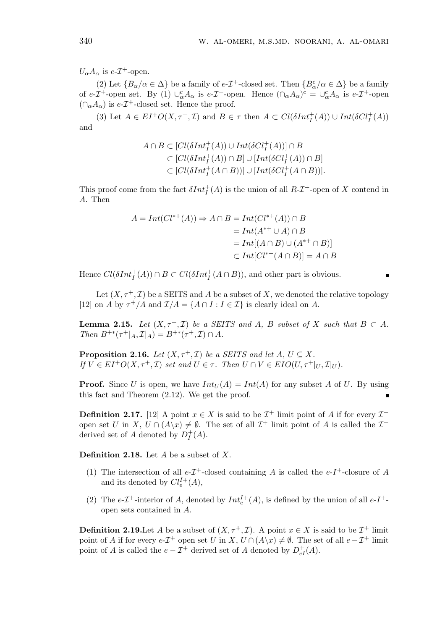$U_{\alpha}A_{\alpha}$  is e- $\mathcal{I}^+$ -open.

(2) Let  $\{B_{\alpha}/\alpha \in \Delta\}$  be a family of  $e\text{-}I^+$ -closed set. Then  $\{B_{\alpha}^c/\alpha \in \Delta\}$  be a family of e-I<sup>+</sup>-open set. By (1)  $\cup_{\alpha}^c A_{\alpha}$  is e-I<sup>+</sup>-open. Hence  $(\cap_{\alpha} A_{\alpha})^c = \cup_{\alpha}^c A_{\alpha}$  is e-I<sup>+</sup>-open  $(\cap_{\alpha} A_{\alpha})$  is e- $\mathcal{I}^+$ -closed set. Hence the proof.

(3) Let  $A \in EI^+O(X, \tau^+, \mathcal{I})$  and  $B \in \tau$  then  $A \subset Cl(\delta Int_I^+(A)) \cup Int(\delta Cl_I^+(A))$ and

$$
A \cap B \subset [Cl(\delta Int_I^+(A)) \cup Int(\delta Cl_I^+(A))] \cap B
$$
  
\n
$$
\subset [Cl(\delta Int_I^+(A)) \cap B] \cup [Int(\delta Cl_I^+(A)) \cap B]
$$
  
\n
$$
\subset [Cl(\delta Int_I^+(A \cap B))] \cup [Int(\delta Cl_I^+(A \cap B))].
$$

This proof come from the fact  $\delta Int_I^+(A)$  is the union of all  $R\text{-}\mathcal{I}^+$ -open of X contend in A. Then

$$
A = Int(Cl^{*+}(A)) \Rightarrow A \cap B = Int(Cl^{*+}(A)) \cap B
$$
  
= Int(A^{\*+} \cup A) \cap B  
= Int[(A \cap B) \cup (A^{\*+} \cap B)]  

$$
\subset Int[Cl^{*+}(A \cap B)] = A \cap B
$$

Hence  $Cl(\delta Int^+_I(A)) \cap B \subset Cl(\delta Int^+_I(A \cap B))$ , and other part is obvious.

Let  $(X, \tau^+, \mathcal{I})$  be a SEITS and A be a subset of X, we denoted the relative topology [12] on A by  $\tau^+/A$  and  $\mathcal{I}/A = \{A \cap I : I \in \mathcal{I}\}\$ is clearly ideal on A.

**Lemma 2.15.** Let  $(X, \tau^+, \mathcal{I})$  be a SEITS and A, B subset of X such that  $B \subset A$ . Then  $B^{+*}(\tau^+|_A, \mathcal{I}|_A) = B^{+*}(\tau^+, \mathcal{I}) \cap A$ .

**Proposition 2.16.** Let  $(X, \tau^+, \mathcal{I})$  be a SEITS and let  $A, U \subseteq X$ . If  $V \in EI^+O(X, \tau^+, \mathcal{I})$  set and  $U \in \tau$ . Then  $U \cap V \in EIO(U, \tau^+|_U, \mathcal{I}|_U)$ .

**Proof.** Since U is open, we have  $Int_U(A) = Int(A)$  for any subset A of U. By using this fact and Theorem (2.12). We get the proof.

**Definition 2.17.** [12] A point  $x \in X$  is said to be  $\mathcal{I}^+$  limit point of A if for every  $\mathcal{I}^+$ open set U in X,  $U \cap (A \backslash x) \neq \emptyset$ . The set of all  $\mathcal{I}^+$  limit point of A is called the  $\mathcal{I}^+$ derived set of A denoted by  $D_I^+$  $^{+}_{I}(A).$ 

**Definition 2.18.** Let  $A$  be a subset of  $X$ .

- (1) The intersection of all  $e$ - $\mathcal{I}^+$ -closed containing A is called the  $e$ - $I^+$ -closure of A and its denoted by  $Cl_e^{I+}(A)$ ,
- (2) The e- $\mathcal{I}^+$ -interior of A, denoted by  $Int_e^{\mathcal{I}+}(A)$ , is defined by the union of all e- $I^+$ open sets contained in A.

**Definition 2.19.** Let A be a subset of  $(X, \tau^+, \mathcal{I})$ . A point  $x \in X$  is said to be  $\mathcal{I}^+$  limit point of A if for every  $e$ - $\mathcal{I}^+$  open set U in X,  $U \cap (A \backslash x) \neq \emptyset$ . The set of all  $e - \mathcal{I}^+$  limit point of A is called the  $e - \mathcal{I}^+$  derived set of A denoted by  $D_{eI}^+(A)$ .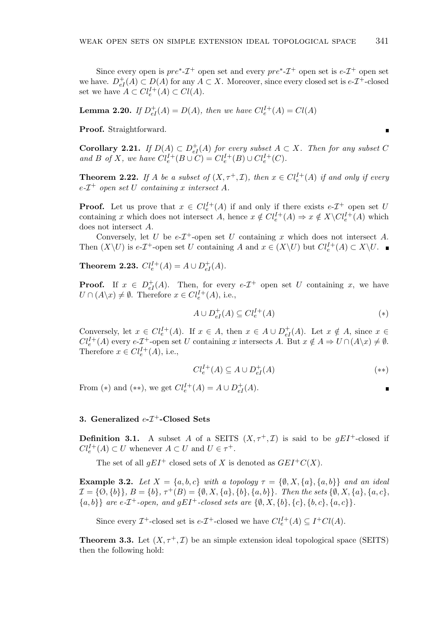Since every open is  $pre^*$ - $\mathcal{I}^+$  open set and every  $pre^*$ - $\mathcal{I}^+$  open set is  $e$ - $\mathcal{I}^+$  open set we have.  $D_{eI}^+(A) \subset D(A)$  for any  $A \subset X$ . Moreover, since every closed set is  $e\text{-}T^+$ -closed set we have  $A \subset Cl_e^{I+}(A) \subset Cl(A)$ .

**Lemma 2.20.** If  $D_{eI}^{+}(A) = D(A)$ , then we have  $Cl_{e}^{I+}(A) = Cl(A)$ 

Proof. Straightforward.

**Corollary 2.21.** If  $D(A) \subset D_{eI}^+(A)$  for every subset  $A \subset X$ . Then for any subset C and B of X, we have  $Cl_e^{I+}(B \cup C) = Cl_e^{I+}(B) \cup Cl_e^{I+}(C)$ .

**Theorem 2.22.** If A be a subset of  $(X, \tau^+, \mathcal{I})$ , then  $x \in Cl_e^{I+}(A)$  if and only if every  $e$ - $\mathcal{I}^+$  open set U containing x intersect A.

**Proof.** Let us prove that  $x \in Cl_e^{I+}(A)$  if and only if there exists  $e\text{-}I^+$  open set U containing x which does not intersect A, hence  $x \notin Cl_e^{I+}(A) \Rightarrow x \notin X\backslash Cl_e^{I+}(A)$  which does not intersect A.

Conversely, let U be  $e$ - $\mathcal{I}^+$ -open set U containing x which does not intersect A. Then  $(X\setminus U)$  is  $e\text{-}T^{\text{+}}$ -open set U containing A and  $x \in (X\setminus U)$  but  $Cl_e^{I+}(A) \subset X\setminus U$ .

**Theorem 2.23.**  $Cl_e^{I+}(A) = A \cup D_{eI}^{+}(A)$ .

**Proof.** If  $x \in D_{eI}^+(A)$ . Then, for every  $e-I^+$  open set U containing x, we have  $U \cap (A \backslash x) \neq \emptyset$ . Therefore  $x \in Cl_e^{I+}(A)$ , i.e.,

$$
A \cup D_{eI}^+(A) \subseteq Cl_e^{I+}(A) \tag{*}
$$

Conversely, let  $x \in Cl_e^{I+}(A)$ . If  $x \in A$ , then  $x \in A \cup D_{eI}^+(A)$ . Let  $x \notin A$ , since  $x \in$  $Cl_e^{I+}(A)$  every  $e\text{-}I^+$ -open set U containing x intersects A. But  $x \notin A \Rightarrow U \cap (A \setminus x) \neq \emptyset$ . Therefore  $x \in Cl_e^{I+}(A)$ , i.e.,

$$
Cl_e^{I+}(A) \subseteq A \cup D_{eI}^+(A) \tag{**}
$$

From (\*) and (\*\*), we get  $Cl_e^{I+}(A) = A \cup D_{eI}^{+}(A)$ .

## 3. Generalized  $e$ - $\mathcal{I}^+$ -Closed Sets

**Definition 3.1.** A subset A of a SEITS  $(X, \tau^+, \mathcal{I})$  is said to be  $gEI^+$ -closed if  $Cl_e^{I+}(A) \subset U$  whenever  $A \subset U$  and  $U \in \tau^+$ .

The set of all  $qEI^+$  closed sets of X is denoted as  $GEI^+C(X)$ .

**Example 3.2.** Let  $X = \{a, b, c\}$  with a topology  $\tau = \{\emptyset, X, \{a\}, \{a, b\}\}\$ and an ideal  $\mathcal{I} = \{\emptyset, \{b\}\}, B = \{b\}, \tau^+(B) = \{\emptyset, X, \{a\}, \{b\}, \{a, b\}\}.$  Then the sets  $\{\emptyset, X, \{a\}, \{a, c\}, \{b, c\}, \{b, c\}, \{c, c\}, \{c, c\}, \{c, c\}, \{c, c\}, \{c, c\}, \{c, c\}, \{c, c\}, \{c, c\}, \{c, c\}, \{c, c\}, \{c, c\}, \{c, c\}, \{c, c\}, \{c, c\}, \{c, c\}, \{c, c\}, \$  $\{a, b\}$  are e- $\mathcal{I}^+$ -open, and  $gEI^+$ -closed sets are  $\{\emptyset, X, \{b\}, \{c\}, \{b, c\}, \{a, c\}\}.$ 

Since every  $\mathcal{I}^+$ -closed set is  $e\text{-}\mathcal{I}^+$ -closed we have  $Cl_e^{I+}(A) \subseteq I^+Cl(A)$ .

**Theorem 3.3.** Let  $(X, \tau^+, \mathcal{I})$  be an simple extension ideal topological space (SEITS) then the following hold: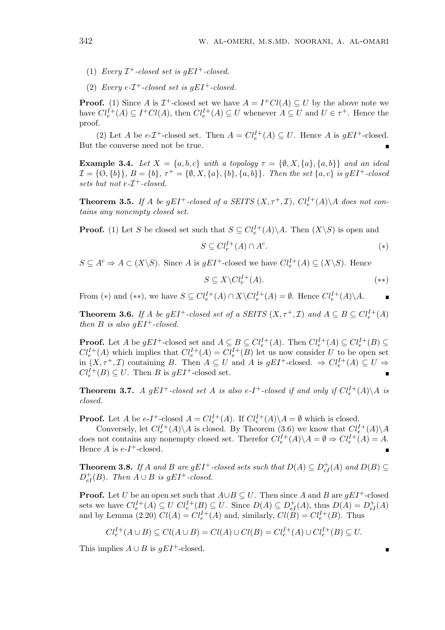- (1) Every  $\mathcal{I}^+$ -closed set is gEI<sup>+</sup>-closed.
- (2) Every e- $\mathcal{I}^+$ -closed set is gEI<sup>+</sup>-closed.

**Proof.** (1) Since A is  $\mathcal{I}^+$ -closed set we have  $A = I^+Cl(A) \subseteq U$  by the above note we have  $Cl_e^{I+}(A) \subseteq I^+Cl(A)$ , then  $Cl_e^{I+}(A) \subseteq U$  whenever  $A \subseteq U$  and  $U \in \tau^+$ . Hence the proof.

(2) Let A be  $e\text{-}T^+$ -closed set. Then  $A = Cl_e^{I+}(A) \subseteq U$ . Hence A is  $gEI^+$ -closed. But the converse need not be true.

**Example 3.4.** Let  $X = \{a, b, c\}$  with a topology  $\tau = \{\emptyset, X, \{a\}, \{a, b\}\}\$ and an ideal  $\mathcal{I} = \{\emptyset, \{b\}\}, B = \{b\}, \tau^+ = \{\emptyset, X, \{a\}, \{b\}, \{a, b\}\}.$  Then the set  $\{a, c\}$  is  $gEI^+$ -closed sets but not  $e$ - $\mathcal{I}^+$ -closed.

**Theorem 3.5.** If A be gEI<sup>+</sup>-closed of a SEITS  $(X, \tau^+, \mathcal{I})$ ,  $Cl_e^{I+}(A) \backslash A$  does not contains any nonempty closed set.

**Proof.** (1) Let S be closed set such that  $S \subseteq Cl_e^{I+}(A) \backslash A$ . Then  $(X \backslash S)$  is open and

$$
S \subseteq Cl_e^{I+}(A) \cap A^c. \tag{*}
$$

 $S \subseteq A^c \Rightarrow A \subset (X \backslash S)$ . Since A is  $gEI^+$ -closed we have  $Cl_e^{I+}(A) \subseteq (X \backslash S)$ . Hence

$$
S \subseteq X \backslash Cl_e^{I+}(A). \tag{**}
$$

From (\*) and (\*\*), we have  $S \subseteq Cl_e^{I+}(A) \cap X \backslash Cl_e^{I+}(A) = \emptyset$ . Hence  $Cl_e^{I+}(A) \backslash A$ .

**Theorem 3.6.** If A be gEI<sup>+</sup>-closed set of a SEITS  $(X, \tau^+, \mathcal{I})$  and  $A \subseteq B \subseteq Cl_e^{I+}(A)$ then B is also  $qEI^+$ -closed.

**Proof.** Let A be  $gEI^+$ -closed set and  $A \subseteq B \subseteq Cl_e^{I+}(A)$ . Then  $Cl_e^{I+}(A) \subseteq Cl_e^{I+}(B) \subseteq$  $Cl_e^{I+}(A)$  which implies that  $Cl_e^{I+}(A) = Cl_e^{I+}(B)$  let us now consider U to be open set in  $(X, \tau^+, \mathcal{I})$  containing B. Then  $A \subseteq U$  and A is  $gEI^+$ -closed.  $\Rightarrow Cl_e^{I+}(A) \subseteq U \Rightarrow$  $Cl_e^{I+}(B) \subseteq U$ . Then B is  $gEI^+$ -closed set.

**Theorem 3.7.** A gEI<sup>+</sup>-closed set A is also e-I<sup>+</sup>-closed if and only if  $Cl_e^{I+}(A) \backslash A$  is closed.

**Proof.** Let A be  $e-I^+$ -closed  $A = Cl_e^{I+}(A)$ . If  $Cl_e^{I+}(A) \setminus A = \emptyset$  which is closed.

Conversely, let  $Cl_e^{I+}(A) \backslash A$  is closed. By Theorem (3.6) we know that  $Cl_e^{I+}(A) \backslash A$ does not contains any nonempty closed set. Therefor  $Cl_e^{I+}(A)\backslash A = \emptyset \Rightarrow Cl_e^{I+}(A) = A$ . Hence  $A$  is  $e-I^+$ -closed.

**Theorem 3.8.** If A and B are  $gEI^+$ -closed sets such that  $D(A) \subseteq D_{eI}^+(A)$  and  $D(B) \subseteq$  $D_{eI}^+(B)$ . Then  $A \cup B$  is gEI<sup>+</sup>-closed.

**Proof.** Let U be an open set such that  $A \cup B \subseteq U$ . Then since A and B are  $qEI^+$ -closed sets we have  $Cl_e^{I+}(A) \subseteq U$   $Cl_e^{I+}(B) \subseteq U$ . Since  $D(A) \subseteq D_{eI}^+(A)$ , thus  $D(A) = D_{eI}^+(A)$ and by Lemma (2.20)  $Cl(A) = Cl_e^{I+}(A)$  and, similarly,  $Cl(\overline{B}) = Cl_e^{I+}(B)$ . Thus

$$
Cl_e^{I+}(A \cup B) \subseteq Cl(A \cup B) = Cl(A) \cup Cl(B) = Cl_e^{I+}(A) \cup Cl_e^{I+}(B) \subseteq U.
$$

This implies  $A \cup B$  is  $gEI^+$ -closed.

$$
\blacksquare
$$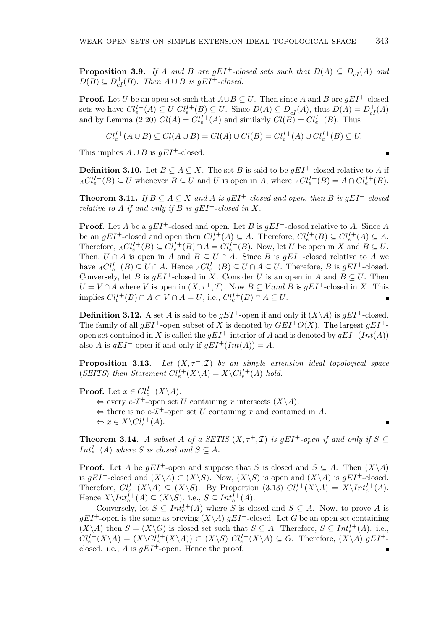**Proposition 3.9.** If A and B are gEI<sup>+</sup>-closed sets such that  $D(A) \subseteq D_{eI}^+(A)$  and  $D(B) \subseteq D_{eI}^+(B)$ . Then  $A \cup B$  is gEI<sup>+</sup>-closed.

**Proof.** Let U be an open set such that  $A \cup B \subseteq U$ . Then since A and B are  $gEI^+$ -closed sets we have  $Cl_e^{I+}(A) \subseteq U$   $Cl_e^{I+}(B) \subseteq U$ . Since  $D(A) \subseteq D_{eI}^+(A)$ , thus  $D(A) = D_{eI}^+(A)$ and by Lemma (2.20)  $Cl(A) = Cl_e^{I+}(A)$  and similarly  $Cl(B) = Cl_e^{I+}(B)$ . Thus

$$
Cl_e^{I+}(A \cup B) \subseteq Cl(A \cup B) = Cl(A) \cup Cl(B) = Cl_e^{I+}(A) \cup Cl_e^{I+}(B) \subseteq U.
$$

This implies  $A \cup B$  is  $qEI^+$ -closed.

**Definition 3.10.** Let  $B \subseteq A \subseteq X$ . The set B is said to be  $qEI^+$ -closed relative to A if  ${ACl}_e^{I+}(B) \subseteq U$  whenever  $B \subseteq U$  and U is open in A, where  ${ACl}_e^{I+}(B) = A \cap Cl_e^{I+}(B)$ .

**Theorem 3.11.** If  $B \subseteq A \subseteq X$  and A is gEI<sup>+</sup>-closed and open, then B is gEI<sup>+</sup>-closed relative to A if and only if B is  $gEI^+$ -closed in X.

**Proof.** Let A be a  $qEI^+$ -closed and open. Let B is  $qEI^+$ -closed relative to A. Since A be an  $gEI^+$ -closed and open then  $Cl_e^{I+}(A) \subseteq A$ . Therefore,  $Cl_e^{I+}(B) \subseteq Cl_e^{I+}(A) \subseteq A$ . Therefore,  ${_{A}}Cl_{e}^{I+}(B) \subseteq Cl_{e}^{I+}(B) \cap A = Cl_{e}^{I+}(B)$ . Now, let U be open in X and  $B \subseteq U$ . Then,  $U \cap A$  is open in A and  $B \subseteq U \cap A$ . Since B is  $gEI^+$ -closed relative to A we have  ${_{A}Cl_{e}^{I+}(B) \subseteq U \cap A}$ . Hence  ${_{A}Cl_{e}^{I+}(B) \subseteq U \cap A \subseteq U}$ . Therefore, B is  $gEI^{+}$ -closed. Conversely, let B is  $gEI^+$ -closed in X. Consider U is an open in A and  $B \subseteq U$ . Then  $U = V \cap A$  where V is open in  $(X, \tau^+, \mathcal{I})$ . Now  $B \subseteq V$  and B is  $gEI^+$ -closed in X. This implies  $Cl_e^{I+}(B) \cap A \subset V \cap A = U$ , i.e.,  $Cl_e^{I+}(B) \cap A \subseteq U$ .

**Definition 3.12.** A set A is said to be  $qEI^+$ -open if and only if  $(X \setminus A)$  is  $qEI^+$ -closed. The family of all  $qEI^+$ -open subset of X is denoted by  $GEI^+O(X)$ . The largest  $qEI^+$ open set contained in X is called the  $qEI^+$ -interior of A and is denoted by  $qEI^+(Int(A))$ also A is  $gEI^+$ -open if and only if  $gEI^+(Int(A)) = A$ .

**Proposition 3.13.** Let  $(X, \tau^+, \mathcal{I})$  be an simple extension ideal topological space (SEITS) then Statement  $Cl_e^{I+}(X \backslash A) = X \backslash Cl_e^{I+}(A)$  hold.

**Proof.** Let  $x \in Cl_e^{I+}(X \backslash A)$ .  $\Leftrightarrow$  every  $e$ - $\mathcal{I}^+$ -open set U containing x intersects  $(X\backslash A)$ .  $\Leftrightarrow$  there is no e- $\mathcal{I}^+$ -open set U containing x and contained in A.  $\Leftrightarrow x \in X \backslash Cl_e^{I+}(A).$ 

**Theorem 3.14.** A subset A of a SETIS  $(X, \tau^+, \mathcal{I})$  is gEI<sup>+</sup>-open if and only if  $S \subset$  $Int_e^{I+}(A)$  where S is closed and  $S \subseteq A$ .

**Proof.** Let A be  $gEI^+$ -open and suppose that S is closed and  $S \subseteq A$ . Then  $(X \setminus A)$ is gEI<sup>+</sup>-closed and  $(X\backslash A) \subset (X\backslash S)$ . Now,  $(X\backslash S)$  is open and  $(X\backslash A)$  is gEI<sup>+</sup>-closed. Therefore,  $Cl_e^{I+}(X\backslash A) \subseteq (X\backslash S)$ . By Proportion (3.13)  $Cl_e^{I+}(X\backslash A) = X\backslash Int_e^{I+}(A)$ . Hence  $X \setminus Int_e^{\tilde{I}+}(A) \subseteq (X \setminus S)$ . i.e.,  $S \subseteq Int_e^{I+}(A)$ .

Conversely, let  $S \subseteq Int_e^{I+}(A)$  where S is closed and  $S \subseteq A$ . Now, to prove A is  $gEI^+$ -open is the same as proving  $(X\setminus A)$   $gEI^+$ -closed. Let G be an open set containing  $(X\setminus A)$  then  $S = (X\setminus G)$  is closed set such that  $S \subseteq A$ . Therefore,  $S \subseteq Int_e^{I+}(A)$ . i.e.,  $Cl_e^{I+}(X\setminus A) = (X\setminus Cl_e^{I+}(X\setminus A)) \subset (X\setminus S) \text{ } Cl_e^{I+}(X\setminus A) \subseteq G.$  Therefore,  $(X\setminus A)$  gEI<sup>+</sup>closed. i.e., A is  $gEI^+$ -open. Hence the proof.